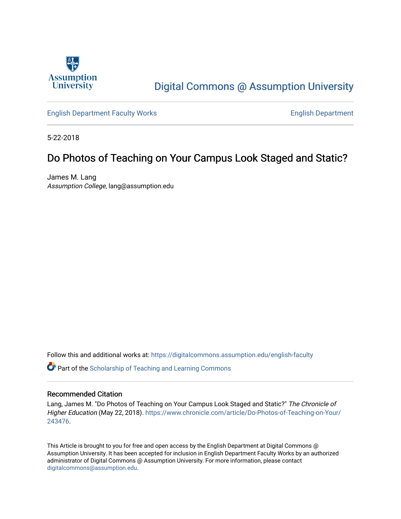

## [Digital Commons @ Assumption University](https://digitalcommons.assumption.edu/)

[English Department Faculty Works](https://digitalcommons.assumption.edu/english-faculty) [English Department](https://digitalcommons.assumption.edu/english) 

5-22-2018

### Do Photos of Teaching on Your Campus Look Staged and Static?

James M. Lang Assumption College, lang@assumption.edu

Follow this and additional works at: [https://digitalcommons.assumption.edu/english-faculty](https://digitalcommons.assumption.edu/english-faculty?utm_source=digitalcommons.assumption.edu%2Fenglish-faculty%2F21&utm_medium=PDF&utm_campaign=PDFCoverPages) 

Part of the [Scholarship of Teaching and Learning Commons](http://network.bepress.com/hgg/discipline/1328?utm_source=digitalcommons.assumption.edu%2Fenglish-faculty%2F21&utm_medium=PDF&utm_campaign=PDFCoverPages) 

### Recommended Citation

Lang, James M. "Do Photos of Teaching on Your Campus Look Staged and Static?" The Chronicle of Higher Education (May 22, 2018). [https://www.chronicle.com/article/Do-Photos-of-Teaching-on-Your/](https://www.chronicle.com/article/Do-Photos-of-Teaching-on-Your/243476) [243476.](https://www.chronicle.com/article/Do-Photos-of-Teaching-on-Your/243476)

This Article is brought to you for free and open access by the English Department at Digital Commons @ Assumption University. It has been accepted for inclusion in English Department Faculty Works by an authorized administrator of Digital Commons @ Assumption University. For more information, please contact [digitalcommons@assumption.edu](mailto:digitalcommons@assumption.edu).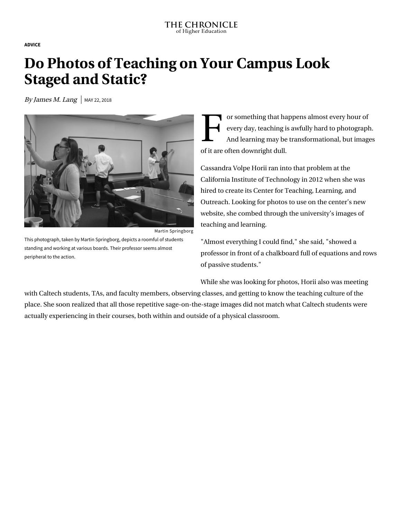**[ADVICE](https://www.chronicle.com/section/Advice/66)**

# **Do Photos of Teaching on Your Campus Look Staged and Static?**

By James M. Lang  $\vert$  MAY 22, 2018



Martin Springborg

This photograph, taken by Martin Springborg, depicts a roomful of students standing and working at various boards. Their professor seems almost peripheral to the action.

F or so<br>every<br>And l or something that happens almost every hour of every day, teaching is awfully hard to photograph. And learning may be transformational, but images of it are often downright dull.

Cassandra Volpe Horii ran into that problem at the California Institute of Technology in 2012 when she was hired to create its Center for Teaching, Learning, and [Outreach. Looking for photos to use on the center's n](http://ctlo.caltech.edu/)ew website, she combed through the university's images of teaching and learning.

"Almost everything I could find," she said, "showed a professor in front of a chalkboard full of equations and rows of passive students."

While she was looking for photos, Horii also was meeting

with Caltech students, TAs, and faculty members, observing classes, and getting to know the teaching culture of the place. She soon realized that all those repetitive sage-on-the-stage images did not match what Caltech students were actually experiencing in their courses, both within and outside of a physical classroom.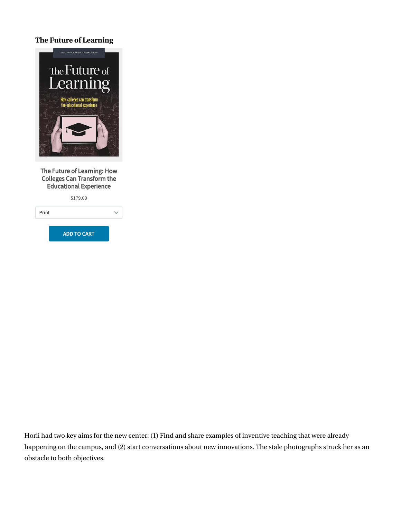### **The Future of Learning**



The Future of Learning: How Colleges Can Transform the Educational Experience



Horii had two key aims for the new center: (1) Find and share examples of inventive teaching that were already happening on the campus, and (2) start conversations about new innovations. The stale photographs struck her as an obstacle to both objectives.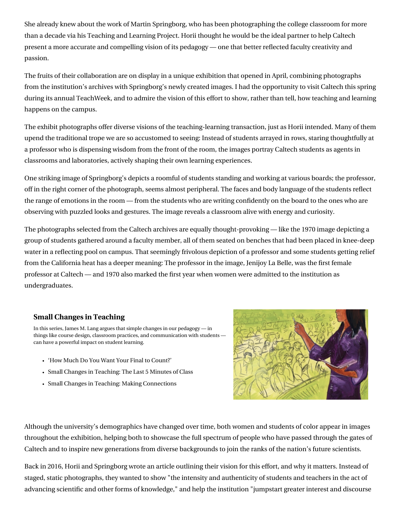She already knew about the work of Martin Springborg, who has been photographing the college classroom for more than a decade via his [Teaching and Learning Project](https://springborgphoto.com/%20https://springborgphoto.com/teaching-and-learning-project/). Horii thought he would be the ideal partner to help Caltech present a more accurate and compelling vision of its pedagogy — one that better reflected faculty creativity and passion.

The fruits of their collaboration are on display in a unique exhibition that opened in April, combining photographs from the institution's archives with Springborg's newly created images. I had the opportunity to visit Caltech this spring during its annual [TeachWeek,](http://teachlearn.caltech.edu/teachweek/exhibit2018) and to admire the vision of this effort to show, rather than tell, how teaching and learning happens on the campus.

The exhibit photographs offer diverse visions of the teaching-learning transaction, just as Horii intended. Many of them upend the traditional trope we are so accustomed to seeing: Instead of students arrayed in rows, staring thoughtfully at a professor who is dispensing wisdom from the front of the room, the images portray Caltech students as agents in classrooms and laboratories, actively shaping their own learning experiences.

One striking image of Springborg's depicts a roomful of students standing and working at various boards; the professor, off in the right corner of the photograph, seems almost peripheral. The faces and body language of the students reflect the range of emotions in the room — from the students who are writing confidently on the board to the ones who are observing with puzzled looks and gestures. The image reveals a classroom alive with energy and curiosity.

The photographs selected from the Caltech archives are equally thought-provoking — like the 1970 image depicting a group of students gathered around a faculty member, all of them seated on benches that had been placed in knee-deep water in a reflecting pool on campus. That seemingly frivolous depiction of a professor and some students getting relief from the California heat has a deeper meaning: The professor in the image, Jenijoy La Belle, was the first female professor at Caltech — and 1970 also marked the first year when women were admitted to the institution as undergraduates.

### **[Small Changes in Teaching](https://www.chronicle.com/specialreport/Small-Changes-in-Teaching/44?cid=RCPACKAGE)**

In this series, James M. Lang argues that simple changes in our pedagogy — in things like course design, classroom practices, and communication with students can have a powerful impact on student learning.

- ['How Much Do You Want Your Final to Count?'](https://www.chronicle.com/article/How-Much-Do-You-Want-Your/242802?cid=RCPACKAGE)
- [Small Changes in Teaching: The Last 5 Minutes of Class](https://www.chronicle.com/article/Small-Changes-in-Teaching-The/235583?cid=RCPACKAGE)
- [Small Changes in Teaching: Making Connections](https://www.chronicle.com/article/Small-Changes-in-Teaching-/235230?cid=RCPACKAGE)



Although the university's demographics have changed over time, both women and students of color appear in images throughout the exhibition, helping both to showcase the full spectrum of people who have passed through the gates of Caltech and to inspire new generations from diverse backgrounds to join the ranks of the nation's future scientists.

Back in 2016, Horii and Springborg [wrote an article](https://onlinelibrary.wiley.com/doi/abs/10.1002/tia2.20048) outlining their vision for this effort, and why it matters. Instead of staged, static photographs, they wanted to show "the intensity and authenticity of students and teachers in the act of advancing scientific and other forms of knowledge," and help the institution "jumpstart greater interest and discourse